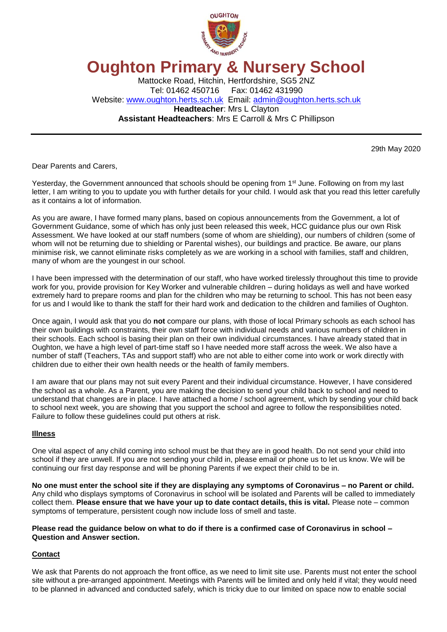

# **Oughton Primary & Nursery School**

Mattocke Road, Hitchin, Hertfordshire, SG5 2NZ Tel: 01462 450716 Fax: 01462 431990 Website: [www.oughton.herts.sch.uk](http://www.oughton.herts.sch.uk/) Email: [admin@oughton.herts.sch.uk](mailto:admin@oughton.herts.sch.uk) **Headteacher**: Mrs L Clayton **Assistant Headteachers**: Mrs E Carroll & Mrs C Phillipson

29th May 2020

Dear Parents and Carers,

Yesterday, the Government announced that schools should be opening from 1<sup>st</sup> June. Following on from my last letter, I am writing to you to update you with further details for your child. I would ask that you read this letter carefully as it contains a lot of information.

As you are aware, I have formed many plans, based on copious announcements from the Government, a lot of Government Guidance, some of which has only just been released this week, HCC guidance plus our own Risk Assessment. We have looked at our staff numbers (some of whom are shielding), our numbers of children (some of whom will not be returning due to shielding or Parental wishes), our buildings and practice. Be aware, our plans minimise risk, we cannot eliminate risks completely as we are working in a school with families, staff and children, many of whom are the youngest in our school.

I have been impressed with the determination of our staff, who have worked tirelessly throughout this time to provide work for you, provide provision for Key Worker and vulnerable children – during holidays as well and have worked extremely hard to prepare rooms and plan for the children who may be returning to school. This has not been easy for us and I would like to thank the staff for their hard work and dedication to the children and families of Oughton.

Once again, I would ask that you do **not** compare our plans, with those of local Primary schools as each school has their own buildings with constraints, their own staff force with individual needs and various numbers of children in their schools. Each school is basing their plan on their own individual circumstances. I have already stated that in Oughton, we have a high level of part-time staff so I have needed more staff across the week. We also have a number of staff (Teachers, TAs and support staff) who are not able to either come into work or work directly with children due to either their own health needs or the health of family members.

I am aware that our plans may not suit every Parent and their individual circumstance. However, I have considered the school as a whole. As a Parent, you are making the decision to send your child back to school and need to understand that changes are in place. I have attached a home / school agreement, which by sending your child back to school next week, you are showing that you support the school and agree to follow the responsibilities noted. Failure to follow these guidelines could put others at risk.

## **Illness**

One vital aspect of any child coming into school must be that they are in good health. Do not send your child into school if they are unwell. If you are not sending your child in, please email or phone us to let us know. We will be continuing our first day response and will be phoning Parents if we expect their child to be in.

**No one must enter the school site if they are displaying any symptoms of Coronavirus – no Parent or child.**  Any child who displays symptoms of Coronavirus in school will be isolated and Parents will be called to immediately collect them. **Please ensure that we have your up to date contact details, this is vital.** Please note – common symptoms of temperature, persistent cough now include loss of smell and taste.

#### **Please read the guidance below on what to do if there is a confirmed case of Coronavirus in school – Question and Answer section.**

## **Contact**

We ask that Parents do not approach the front office, as we need to limit site use. Parents must not enter the school site without a pre-arranged appointment. Meetings with Parents will be limited and only held if vital; they would need to be planned in advanced and conducted safely, which is tricky due to our limited on space now to enable social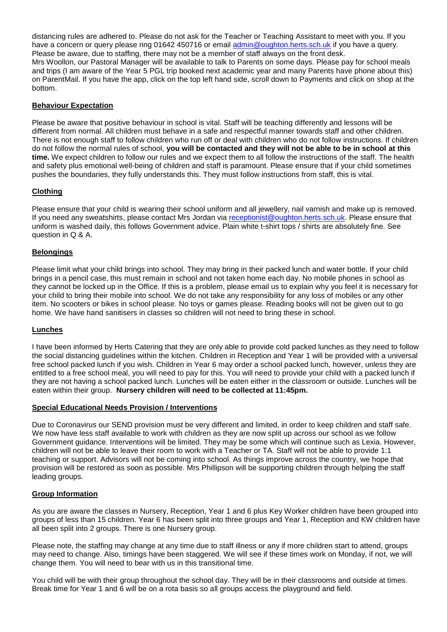distancing rules are adhered to. Please do not ask for the Teacher or Teaching Assistant to meet with you. If you have a concern or query please ring 01642 450716 or email [admin@oughton.herts.sch.uk](mailto:admin@oughton.herts.sch.uk) if you have a query. Please be aware, due to staffing, there may not be a member of staff always on the front desk. Mrs Woollon, our Pastoral Manager will be available to talk to Parents on some days. Please pay for school meals and trips (I am aware of the Year 5 PGL trip booked next academic year and many Parents have phone about this) on ParentMail. If you have the app, click on the top left hand side, scroll down to Payments and click on shop at the bottom.

## **Behaviour Expectation**

Please be aware that positive behaviour in school is vital. Staff will be teaching differently and lessons will be different from normal. All children must behave in a safe and respectful manner towards staff and other children. There is not enough staff to follow children who run off or deal with children who do not follow instructions. If children do not follow the normal rules of school, **you will be contacted and they will not be able to be in school at this time.** We expect children to follow our rules and we expect them to all follow the instructions of the staff. The health and safety plus emotional well-being of children and staff is paramount. Please ensure that if your child sometimes pushes the boundaries, they fully understands this. They must follow instructions from staff, this is vital.

## **Clothing**

Please ensure that your child is wearing their school uniform and all jewellery, nail varnish and make up is removed. If you need any sweatshirts, please contact Mrs Jordan via [receptionist@oughton.herts.sch.uk.](mailto:receptionist@oughton.herts.sch.uk) Please ensure that uniform is washed daily, this follows Government advice. Plain white t-shirt tops / shirts are absolutely fine. See question in Q & A.

## **Belongings**

Please limit what your child brings into school. They may bring in their packed lunch and water bottle. If your child brings in a pencil case, this must remain in school and not taken home each day. No mobile phones in school as they cannot be locked up in the Office. If this is a problem, please email us to explain why you feel it is necessary for your child to bring their mobile into school. We do not take any responsibility for any loss of mobiles or any other item. No scooters or bikes in school please. No toys or games please. Reading books will not be given out to go home. We have hand sanitisers in classes so children will not need to bring these in school.

## **Lunches**

I have been informed by Herts Catering that they are only able to provide cold packed lunches as they need to follow the social distancing guidelines within the kitchen. Children in Reception and Year 1 will be provided with a universal free school packed lunch if you wish. Children in Year 6 may order a school packed lunch, however, unless they are entitled to a free school meal, you will need to pay for this. You will need to provide your child with a packed lunch if they are not having a school packed lunch. Lunches will be eaten either in the classroom or outside. Lunches will be eaten within their group. **Nursery children will need to be collected at 11:45pm.**

# **Special Educational Needs Provision / Interventions**

Due to Coronavirus our SEND provision must be very different and limited, in order to keep children and staff safe. We now have less staff available to work with children as they are now split up across our school as we follow Government guidance. Interventions will be limited. They may be some which will continue such as Lexia. However, children will not be able to leave their room to work with a Teacher or TA. Staff will not be able to provide 1:1 teaching or support. Advisors will not be coming into school. As things improve across the country, we hope that provision will be restored as soon as possible. Mrs Phillipson will be supporting children through helping the staff leading groups.

#### **Group Information**

As you are aware the classes in Nursery, Reception, Year 1 and 6 plus Key Worker children have been grouped into groups of less than 15 children. Year 6 has been split into three groups and Year 1, Reception and KW children have all been split into 2 groups. There is one Nursery group.

Please note, the staffing may change at any time due to staff illness or any if more children start to attend, groups may need to change. Also, timings have been staggered. We will see if these times work on Monday, if not, we will change them. You will need to bear with us in this transitional time.

You child will be with their group throughout the school day. They will be in their classrooms and outside at times. Break time for Year 1 and 6 will be on a rota basis so all groups access the playground and field.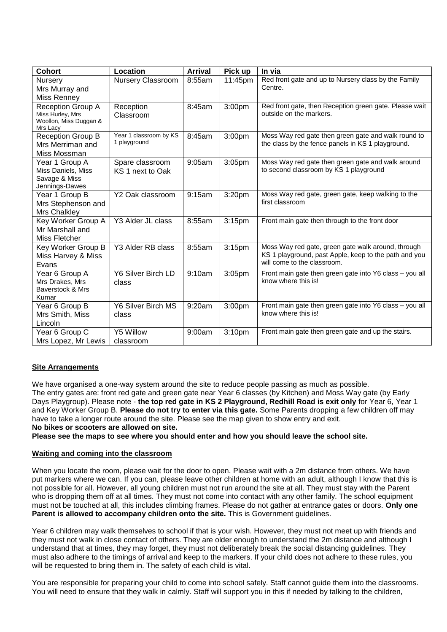| <b>Cohort</b>                                                                      | Location                               | <b>Arrival</b> | Pick up            | In via                                                                                                                                     |
|------------------------------------------------------------------------------------|----------------------------------------|----------------|--------------------|--------------------------------------------------------------------------------------------------------------------------------------------|
| Nursery<br>Mrs Murray and<br><b>Miss Renney</b>                                    | Nursery Classroom                      | 8:55am         | 11:45pm            | Red front gate and up to Nursery class by the Family<br>Centre.                                                                            |
| <b>Reception Group A</b><br>Miss Hurley, Mrs<br>Woollon, Miss Duggan &<br>Mrs Lacy | Reception<br>Classroom                 | 8:45am         | 3:00pm             | Red front gate, then Reception green gate. Please wait<br>outside on the markers.                                                          |
| Reception Group B<br>Mrs Merriman and<br>Miss Mossman                              | Year 1 classroom by KS<br>1 playground | 8:45am         | 3:00pm             | Moss Way red gate then green gate and walk round to<br>the class by the fence panels in KS 1 playground.                                   |
| Year 1 Group A<br>Miss Daniels, Miss<br>Savage & Miss<br>Jennings-Dawes            | Spare classroom<br>KS 1 next to Oak    | 9:05am         | 3:05pm             | Moss Way red gate then green gate and walk around<br>to second classroom by KS 1 playground                                                |
| Year 1 Group B<br>Mrs Stephenson and<br>Mrs Chalkley                               | Y2 Oak classroom                       | 9:15am         | 3:20pm             | Moss Way red gate, green gate, keep walking to the<br>first classroom                                                                      |
| Key Worker Group A<br>Mr Marshall and<br>Miss Fletcher                             | Y3 Alder JL class                      | 8:55am         | 3:15 <sub>pm</sub> | Front main gate then through to the front door                                                                                             |
| Key Worker Group B<br>Miss Harvey & Miss<br>Evans                                  | Y3 Alder RB class                      | 8:55am         | 3:15 <sub>pm</sub> | Moss Way red gate, green gate walk around, through<br>KS 1 playground, past Apple, keep to the path and you<br>will come to the classroom. |
| Year 6 Group A<br>Mrs Drakes, Mrs<br>Baverstock & Mrs<br>Kumar                     | Y6 Silver Birch LD<br>class            | 9:10am         | 3:05pm             | Front main gate then green gate into Y6 class - you all<br>know where this is!                                                             |
| Year 6 Group B<br>Mrs Smith, Miss<br>Lincoln                                       | Y6 Silver Birch MS<br>class            | 9:20am         | 3:00pm             | Front main gate then green gate into Y6 class - you all<br>know where this is!                                                             |
| Year 6 Group C<br>Mrs Lopez, Mr Lewis                                              | Y5 Willow<br>classroom                 | 9:00am         | 3:10pm             | Front main gate then green gate and up the stairs.                                                                                         |

## **Site Arrangements**

We have organised a one-way system around the site to reduce people passing as much as possible. The entry gates are: front red gate and green gate near Year 6 classes (by Kitchen) and Moss Way gate (by Early Days Playgroup). Please note - **the top red gate in KS 2 Playground, Redhill Road is exit only** for Year 6, Year 1 and Key Worker Group B. **Please do not try to enter via this gate.** Some Parents dropping a few children off may have to take a longer route around the site. Please see the map given to show entry and exit. **No bikes or scooters are allowed on site.** 

**Please see the maps to see where you should enter and how you should leave the school site.** 

## **Waiting and coming into the classroom**

When you locate the room, please wait for the door to open. Please wait with a 2m distance from others. We have put markers where we can. If you can, please leave other children at home with an adult, although I know that this is not possible for all. However, all young children must not run around the site at all. They must stay with the Parent who is dropping them off at all times. They must not come into contact with any other family. The school equipment must not be touched at all, this includes climbing frames. Please do not gather at entrance gates or doors. **Only one Parent is allowed to accompany children onto the site.** This is Government guidelines.

Year 6 children may walk themselves to school if that is your wish. However, they must not meet up with friends and they must not walk in close contact of others. They are older enough to understand the 2m distance and although I understand that at times, they may forget, they must not deliberately break the social distancing guidelines. They must also adhere to the timings of arrival and keep to the markers. If your child does not adhere to these rules, you will be requested to bring them in. The safety of each child is vital.

You are responsible for preparing your child to come into school safely. Staff cannot guide them into the classrooms. You will need to ensure that they walk in calmly. Staff will support you in this if needed by talking to the children,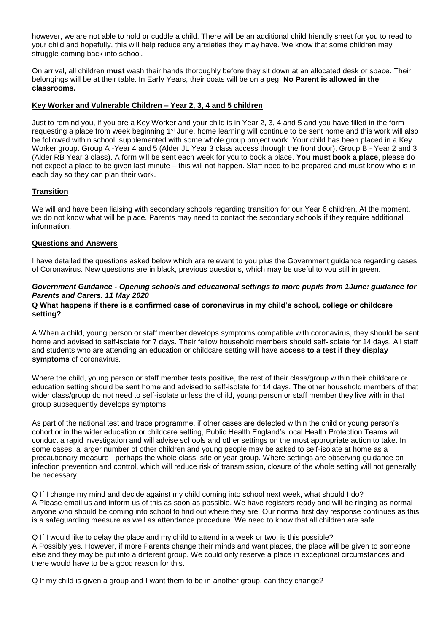however, we are not able to hold or cuddle a child. There will be an additional child friendly sheet for you to read to your child and hopefully, this will help reduce any anxieties they may have. We know that some children may struggle coming back into school.

On arrival, all children **must** wash their hands thoroughly before they sit down at an allocated desk or space. Their belongings will be at their table. In Early Years, their coats will be on a peg. **No Parent is allowed in the classrooms.**

## **Key Worker and Vulnerable Children – Year 2, 3, 4 and 5 children**

Just to remind you, if you are a Key Worker and your child is in Year 2, 3, 4 and 5 and you have filled in the form requesting a place from week beginning 1<sup>st</sup> June, home learning will continue to be sent home and this work will also be followed within school, supplemented with some whole group project work. Your child has been placed in a Key Worker group. Group A -Year 4 and 5 (Alder JL Year 3 class access through the front door). Group B - Year 2 and 3 (Alder RB Year 3 class). A form will be sent each week for you to book a place. **You must book a place**, please do not expect a place to be given last minute – this will not happen. Staff need to be prepared and must know who is in each day so they can plan their work.

# **Transition**

We will and have been liaising with secondary schools regarding transition for our Year 6 children. At the moment, we do not know what will be place. Parents may need to contact the secondary schools if they require additional information.

## **Questions and Answers**

I have detailed the questions asked below which are relevant to you plus the Government guidance regarding cases of Coronavirus. New questions are in black, previous questions, which may be useful to you still in green.

## *Government Guidance - Opening schools and educational settings to more pupils from 1June: guidance for Parents and Carers. 11 May 2020*

## **Q What happens if there is a confirmed case of coronavirus in my child's school, college or childcare setting?**

A When a child, young person or staff member develops symptoms compatible with coronavirus, they should be sent home and advised to self-isolate for 7 days. Their fellow household members should self-isolate for 14 days. All staff and students who are attending an education or childcare setting will have **access to a test if they display symptoms** of coronavirus.

Where the child, young person or staff member tests positive, the rest of their class/group within their childcare or education setting should be sent home and advised to self-isolate for 14 days. The other household members of that wider class/group do not need to self-isolate unless the child, young person or staff member they live with in that group subsequently develops symptoms.

As part of the national test and trace programme, if other cases are detected within the child or young person's cohort or in the wider education or childcare setting, Public Health England's local Health Protection Teams will conduct a rapid investigation and will advise schools and other settings on the most appropriate action to take. In some cases, a larger number of other children and young people may be asked to self-isolate at home as a precautionary measure - perhaps the whole class, site or year group. Where settings are observing guidance on infection prevention and control, which will reduce risk of transmission, closure of the whole setting will not generally be necessary.

Q If I change my mind and decide against my child coming into school next week, what should I do? A Please email us and inform us of this as soon as possible. We have registers ready and will be ringing as normal anyone who should be coming into school to find out where they are. Our normal first day response continues as this is a safeguarding measure as well as attendance procedure. We need to know that all children are safe.

Q If I would like to delay the place and my child to attend in a week or two, is this possible? A Possibly yes. However, if more Parents change their minds and want places, the place will be given to someone else and they may be put into a different group. We could only reserve a place in exceptional circumstances and there would have to be a good reason for this.

Q If my child is given a group and I want them to be in another group, can they change?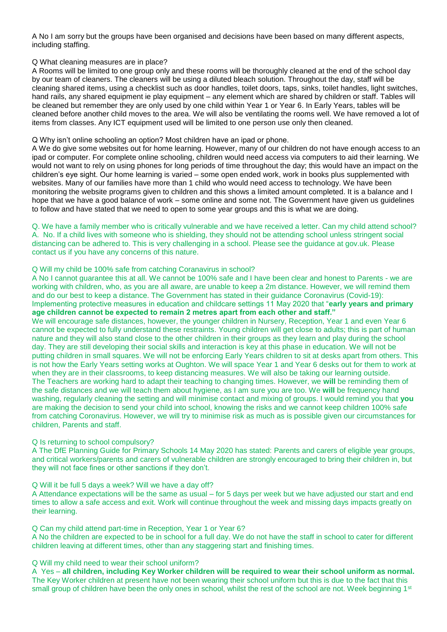A No I am sorry but the groups have been organised and decisions have been based on many different aspects, including staffing.

#### Q What cleaning measures are in place?

A Rooms will be limited to one group only and these rooms will be thoroughly cleaned at the end of the school day by our team of cleaners. The cleaners will be using a diluted bleach solution. Throughout the day, staff will be cleaning shared items, using a checklist such as door handles, toilet doors, taps, sinks, toilet handles, light switches, hand rails, any shared equipment ie play equipment – any element which are shared by children or staff. Tables will be cleaned but remember they are only used by one child within Year 1 or Year 6. In Early Years, tables will be cleaned before another child moves to the area. We will also be ventilating the rooms well. We have removed a lot of items from classes. Any ICT equipment used will be limited to one person use only then cleaned.

## Q Why isn't online schooling an option? Most children have an ipad or phone.

A We do give some websites out for home learning. However, many of our children do not have enough access to an ipad or computer. For complete online schooling, children would need access via computers to aid their learning. We would not want to rely on using phones for long periods of time throughout the day; this would have an impact on the children's eye sight. Our home learning is varied – some open ended work, work in books plus supplemented with websites. Many of our families have more than 1 child who would need access to technology. We have been monitoring the website programs given to children and this shows a limited amount completed. It is a balance and I hope that we have a good balance of work – some online and some not. The Government have given us guidelines to follow and have stated that we need to open to some year groups and this is what we are doing.

#### Q. We have a family member who is critically vulnerable and we have received a letter. Can my child attend school? A. No. If a child lives with someone who is shielding, they should not be attending school unless stringent social distancing can be adhered to. This is very challenging in a school. Please see the guidance at gov.uk. Please contact us if you have any concerns of this nature.

## Q Will my child be 100% safe from catching Coranavirus in school?

A No I cannot guarantee this at all. We cannot be 100% safe and I have been clear and honest to Parents - we are working with children, who, as you are all aware, are unable to keep a 2m distance. However, we will remind them and do our best to keep a distance. The Government has stated in their guidance Coronavirus (Covid-19): Implementing protective measures in education and childcare settings 11 May 2020 that "**early years and primary age children cannot be expected to remain 2 metres apart from each other and staff."** 

We will encourage safe distances, however, the younger children in Nursery, Reception, Year 1 and even Year 6 cannot be expected to fully understand these restraints. Young children will get close to adults; this is part of human nature and they will also stand close to the other children in their groups as they learn and play during the school day. They are still developing their social skills and interaction is key at this phase in education. We will not be putting children in small squares. We will not be enforcing Early Years children to sit at desks apart from others. This is not how the Early Years setting works at Oughton. We will space Year 1 and Year 6 desks out for them to work at when they are in their classrooms, to keep distancing measures. We will also be taking our learning outside. The Teachers are working hard to adapt their teaching to changing times. However, we **will** be reminding them of the safe distances and we will teach them about hygiene, as I am sure you are too. We **will** be frequency hand washing, regularly cleaning the setting and will minimise contact and mixing of groups. I would remind you that **you**  are making the decision to send your child into school, knowing the risks and we cannot keep children 100% safe from catching Coronavirus. However, we will try to minimise risk as much as is possible given our circumstances for children, Parents and staff.

#### Q Is returning to school compulsory?

A The DfE Planning Guide for Primary Schools 14 May 2020 has stated: Parents and carers of eligible year groups, and critical workers/parents and carers of vulnerable children are strongly encouraged to bring their children in, but they will not face fines or other sanctions if they don't.

#### Q Will it be full 5 days a week? Will we have a day off?

A Attendance expectations will be the same as usual – for 5 days per week but we have adjusted our start and end times to allow a safe access and exit. Work will continue throughout the week and missing days impacts greatly on their learning.

#### Q Can my child attend part-time in Reception, Year 1 or Year 6?

A No the children are expected to be in school for a full day. We do not have the staff in school to cater for different children leaving at different times, other than any staggering start and finishing times.

#### Q Will my child need to wear their school uniform?

A Yes – **all children, including Key Worker children will be required to wear their school uniform as normal.** The Key Worker children at present have not been wearing their school uniform but this is due to the fact that this small group of children have been the only ones in school, whilst the rest of the school are not. Week beginning 1<sup>st</sup>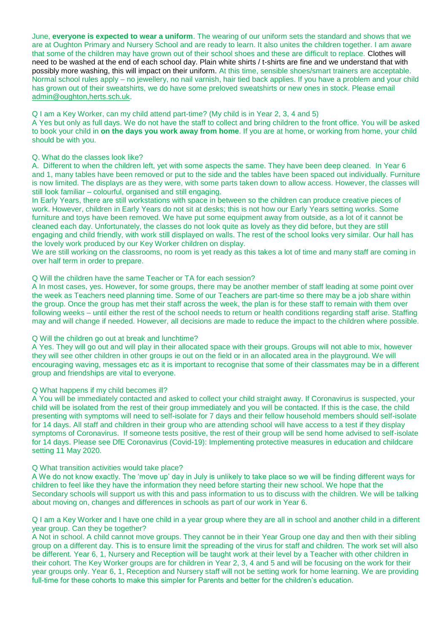June, **everyone is expected to wear a uniform**. The wearing of our uniform sets the standard and shows that we are at Oughton Primary and Nursery School and are ready to learn. It also unites the children together. I am aware that some of the children may have grown out of their school shoes and these are difficult to replace. Clothes will need to be washed at the end of each school day. Plain white shirts / t-shirts are fine and we understand that with possibly more washing, this will impact on their uniform. At this time, sensible shoes/smart trainers are acceptable. Normal school rules apply – no jewellery, no nail varnish, hair tied back applies. If you have a problem and your child has grown out of their sweatshirts, we do have some preloved sweatshirts or new ones in stock. Please email [admin@oughton,herts.sch.uk.](mailto:admin@oughton,herts.sch.uk)

## Q I am a Key Worker, can my child attend part-time? (My child is in Year 2, 3, 4 and 5)

A Yes but only as full days. We do not have the staff to collect and bring children to the front office. You will be asked to book your child in **on the days you work away from home**. If you are at home, or working from home, your child should be with you.

## Q. What do the classes look like?

A. Different to when the children left, yet with some aspects the same. They have been deep cleaned. In Year 6 and 1, many tables have been removed or put to the side and the tables have been spaced out individually. Furniture is now limited. The displays are as they were, with some parts taken down to allow access. However, the classes will still look familiar – colourful, organised and still engaging.

In Early Years, there are still workstations with space in between so the children can produce creative pieces of work. However, children in Early Years do not sit at desks; this is not how our Early Years setting works. Some furniture and toys have been removed. We have put some equipment away from outside, as a lot of it cannot be cleaned each day. Unfortunately, the classes do not look quite as lovely as they did before, but they are still engaging and child friendly, with work still displayed on walls. The rest of the school looks very similar. Our hall has the lovely work produced by our Key Worker children on display.

We are still working on the classrooms, no room is yet ready as this takes a lot of time and many staff are coming in over half term in order to prepare.

#### Q Will the children have the same Teacher or TA for each session?

A In most cases, yes. However, for some groups, there may be another member of staff leading at some point over the week as Teachers need planning time. Some of our Teachers are part-time so there may be a job share within the group. Once the group has met their staff across the week, the plan is for these staff to remain with them over following weeks – until either the rest of the school needs to return or health conditions regarding staff arise. Staffing may and will change if needed. However, all decisions are made to reduce the impact to the children where possible.

#### Q Will the children go out at break and lunchtime?

A Yes. They will go out and will play in their allocated space with their groups. Groups will not able to mix, however they will see other children in other groups ie out on the field or in an allocated area in the playground. We will encouraging waving, messages etc as it is important to recognise that some of their classmates may be in a different group and friendships are vital to everyone.

## Q What happens if my child becomes ill?

A You will be immediately contacted and asked to collect your child straight away. If Coronavirus is suspected, your child will be isolated from the rest of their group immediately and you will be contacted. If this is the case, the child presenting with symptoms will need to self-isolate for 7 days and their fellow household members should self-isolate for 14 days. All staff and children in their group who are attending school will have access to a test if they display symptoms of Coronavirus. If someone tests positive, the rest of their group will be send home advised to self-isolate for 14 days. Please see DfE Coronavirus (Covid-19): Implementing protective measures in education and childcare setting 11 May 2020.

#### Q What transition activities would take place?

A We do not know exactly. The 'move up' day in July is unlikely to take place so we will be finding different ways for children to feel like they have the information they need before starting their new school. We hope that the Secondary schools will support us with this and pass information to us to discuss with the children. We will be talking about moving on, changes and differences in schools as part of our work in Year 6.

Q I am a Key Worker and I have one child in a year group where they are all in school and another child in a different year group. Can they be together?

A Not in school. A child cannot move groups. They cannot be in their Year Group one day and then with their sibling group on a different day. This is to ensure limit the spreading of the virus for staff and children. The work set will also be different. Year 6, 1, Nursery and Reception will be taught work at their level by a Teacher with other children in their cohort. The Key Worker groups are for children in Year 2, 3, 4 and 5 and will be focusing on the work for their year groups only. Year 6, 1, Reception and Nursery staff will not be setting work for home learning. We are providing full-time for these cohorts to make this simpler for Parents and better for the children's education.